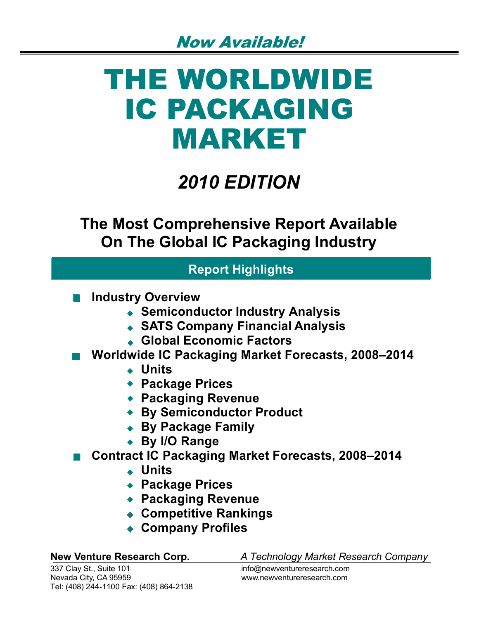# THE WORLDWIDE IC PACKAGING MARKET

## *2010 EDITION*

**The Most Comprehensive Report Available On The Global IC Packaging Industry**

### **Report Highlights**

- **Industry Overview**
	- **Semiconductor Industry Analysis**
	- **SATS Company Financial Analysis**
	- **Global Economic Factors**
- **Worldwide IC Packaging Market Forecasts, 2008–2014** 
	- **Units**
	- **Package Prices**
	- **Packaging Revenue**
	- **By Semiconductor Product**
	- **By Package Family**
	- **By I/O Range**
- Contract IC Packaging Market Forecasts, 2008–2014
	- **Units**
	- **Package Prices**
	- **Packaging Revenue**
	- **Competitive Rankings**
	- **Company Profiles**

**New Venture Research Corp.** *A Technology Market Research Company*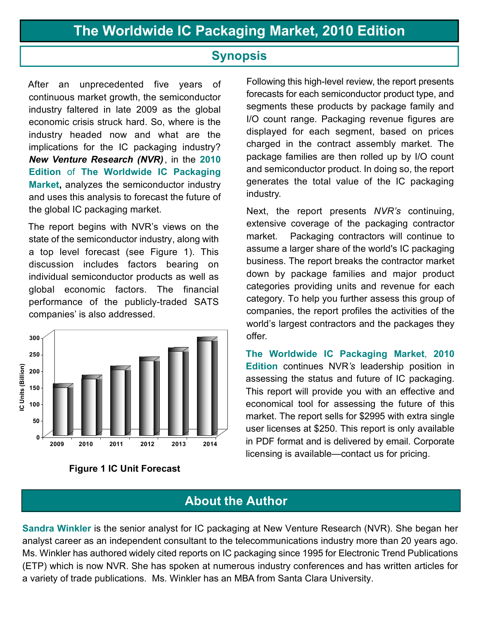#### **Synopsis**

After an unprecedented five years of continuous market growth, the semiconductor industry faltered in late 2009 as the global economic crisis struck hard. So, where is the industry headed now and what are the implications for the IC packaging industry? *New Venture Research (NVR)* , in the **2010 Edition** of **The Worldwide IC Packaging Market,** analyzes the semiconductor industry and uses this analysis to forecast the future of the global IC packaging market.

The report begins with NVR's views on the state of the semiconductor industry, along with a top level forecast (see Figure 1). This discussion includes factors bearing on individual semiconductor products as well as global economic factors. The financial performance of the publicly-traded SATS companies' is also addressed.





Following this high-level review, the report presents forecasts for each semiconductor product type, and segments these products by package family and I/O count range. Packaging revenue figures are displayed for each segment, based on prices charged in the contract assembly market. The package families are then rolled up by I/O count and semiconductor product. In doing so, the report generates the total value of the IC packaging industry.

Next, the report presents *NVR's* continuing, extensive coverage of the packaging contractor market. Packaging contractors will continue to assume a larger share of the world's IC packaging business. The report breaks the contractor market down by package families and major product categories providing units and revenue for each category. To help you further assess this group of companies, the report profiles the activities of the world's largest contractors and the packages they offer.

**The Worldwide IC Packaging Market**, **2010 Edition** continues NVR*'s* leadership position in assessing the status and future of IC packaging. This report will provide you with an effective and economical tool for assessing the future of this market. The report sells for \$2995 with extra single user licenses at \$250. This report is only available in PDF format and is delivered by email. Corporate licensing is available—contact us for pricing.

#### **About the Author**

**Sandra Winkler** is the senior analyst for IC packaging at New Venture Research (NVR). She began her analyst career as an independent consultant to the telecommunications industry more than 20 years ago. Ms. Winkler has authored widely cited reports on IC packaging since 1995 for Electronic Trend Publications (ETP) which is now NVR. She has spoken at numerous industry conferences and has written articles for a variety of trade publications. Ms. Winkler has an MBA from Santa Clara University.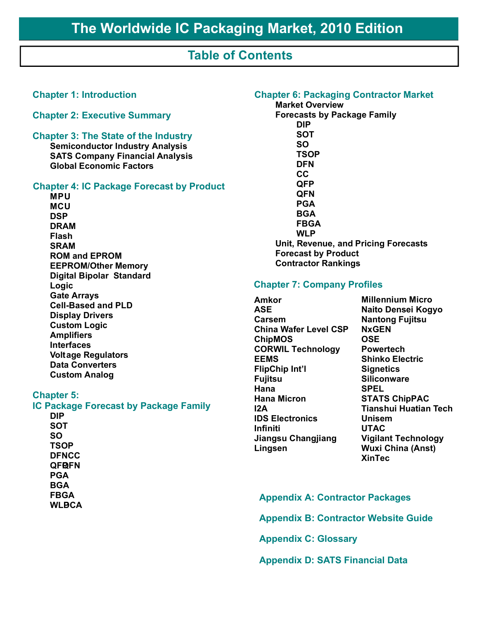#### **Table of Contents**

#### **Chapter 1: Introduction Chapter 2: Executive Summary Chapter 3: The State of the Industry Semiconductor Industry Analysis SATS Company Financial Analysis Global Economic Factors Chapter 4: IC Package Forecast by Product MPU MCU DSP DRAM Flash SRAM ROM and EPROM EEPROM/Other Memory Digital Bipolar Standard Logic Gate Arrays Cell-Based and PLD Display Drivers Custom Logic Amplifiers Interfaces Voltage Regulators Data Converters Custom Analog Chapter 5: IC Package Forecast by Package Family**

**DIP SOT SO TSOP DFN CC QFBFN PGA BGA FBGA WLBCA** 

#### **Chapter 6: Packaging Contractor Market**

**Market Overview Forecasts by Package Family DIP SOT SO TSOP DFN CC QFP QFN PGA BGA FBGA WLP Unit, Revenue, and Pricing Forecasts Forecast by Product Contractor Rankings**

#### **Chapter 7: Company Profiles**

**Amkor ASE Carsem China Wafer Level CSP ChipMOS CORWIL Technology EEMS FlipChip Int'l Fujitsu Hana Hana Micron I2A IDS Electronics Infiniti Jiangsu Changjiang Lingsen**

**Millennium Micro Naito Densei Kogyo Nantong Fujitsu NxGEN OSE Powertech Shinko Electric Signetics Siliconware SPEL STATS ChipPAC Tianshui Huatian Tech Unisem UTAC Vigilant Technology Wuxi China (Anst) XinTec**

#### **Appendix A: Contractor Packages**

**Appendix B: Contractor Website Guide**

**Appendix C: Glossary**

**Appendix D: SATS Financial Data**